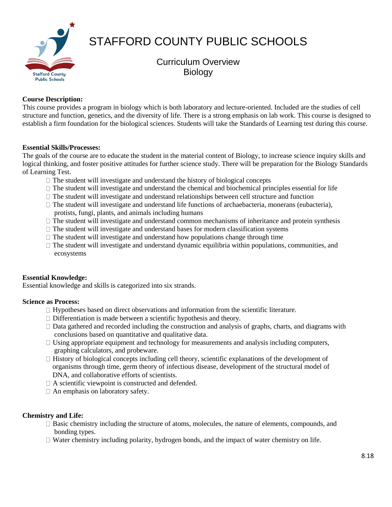

# STAFFORD COUNTY PUBLIC SCHOOLS

Curriculum Overview **Biology** 

### **Course Description:**

This course provides a program in biology which is both laboratory and lecture-oriented. Included are the studies of cell structure and function, genetics, and the diversity of life. There is a strong emphasis on lab work. This course is designed to establish a firm foundation for the biological sciences. Students will take the Standards of Learning test during this course.

#### **Essential Skills/Processes:**

The goals of the course are to educate the student in the material content of Biology, to increase science inquiry skills and logical thinking, and foster positive attitudes for further science study. There will be preparation for the Biology Standards of Learning Test.

- $\Box$  The student will investigate and understand the history of biological concepts
- $\Box$  The student will investigate and understand the chemical and biochemical principles essential for life
- $\Box$  The student will investigate and understand relationships between cell structure and function
- $\Box$  The student will investigate and understand life functions of archaebacteria, monerans (eubacteria), protists, fungi, plants, and animals including humans
- $\Box$  The student will investigate and understand common mechanisms of inheritance and protein synthesis
- $\Box$  The student will investigate and understand bases for modern classification systems
- $\Box$  The student will investigate and understand how populations change through time
- $\Box$  The student will investigate and understand dynamic equilibria within populations, communities, and ecosystems

#### **Essential Knowledge:**

Essential knowledge and skills is categorized into six strands.

#### **Science as Process:**

- $\Box$  Hypotheses based on direct observations and information from the scientific literature.
- $\Box$  Differentiation is made between a scientific hypothesis and theory.
- $\Box$  Data gathered and recorded including the construction and analysis of graphs, charts, and diagrams with conclusions based on quantitative and qualitative data.
- $\Box$  Using appropriate equipment and technology for measurements and analysis including computers, graphing calculators, and probeware.
- $\Box$  History of biological concepts including cell theory, scientific explanations of the development of organisms through time, germ theory of infectious disease, development of the structural model of DNA, and collaborative efforts of scientists.
- $\Box$  A scientific viewpoint is constructed and defended.
- $\Box$  An emphasis on laboratory safety.

## **Chemistry and Life:**

- $\Box$  Basic chemistry including the structure of atoms, molecules, the nature of elements, compounds, and bonding types.
- Water chemistry including polarity, hydrogen bonds, and the impact of water chemistry on life.